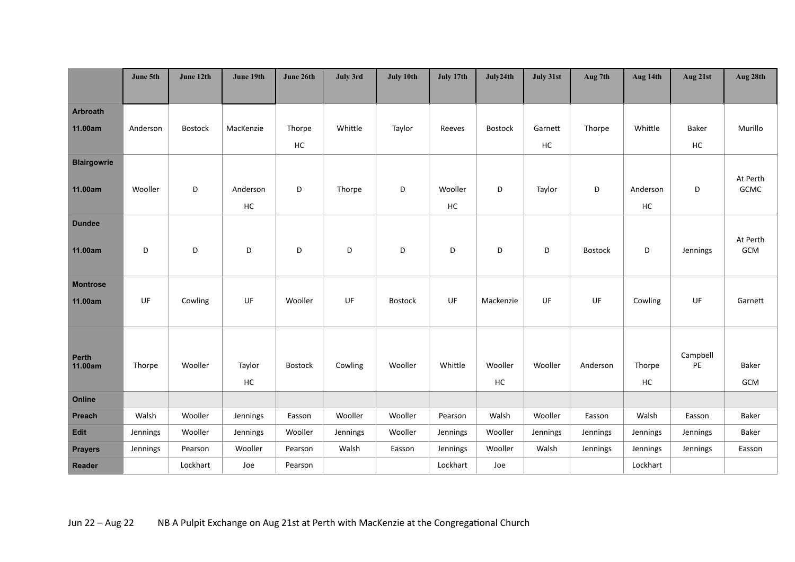|                    | June 5th | June 12th      | June 19th          | June 26th      | July 3rd | July 10th      | July 17th | July24th            | July 31st | Aug 7th        | Aug 14th           | Aug 21st                  | Aug 28th                |
|--------------------|----------|----------------|--------------------|----------------|----------|----------------|-----------|---------------------|-----------|----------------|--------------------|---------------------------|-------------------------|
|                    |          |                |                    |                |          |                |           |                     |           |                |                    |                           |                         |
| <b>Arbroath</b>    |          |                |                    |                |          |                |           |                     |           |                |                    |                           |                         |
| 11.00am            | Anderson | <b>Bostock</b> | MacKenzie          | Thorpe         | Whittle  | Taylor         | Reeves    | Bostock             | Garnett   | Thorpe         | Whittle            | <b>Baker</b>              | Murillo                 |
|                    |          |                |                    | $\sf HC$       |          |                |           |                     | $\sf HC$  |                |                    | HC                        |                         |
| <b>Blairgowrie</b> |          |                |                    |                |          |                |           |                     |           |                |                    |                           |                         |
| 11.00am            | Wooller  | D              | Anderson           | D              | Thorpe   | D              | Wooller   | D                   | Taylor    | D              | Anderson           | D                         | At Perth<br><b>GCMC</b> |
|                    |          |                | $\sf HC$           |                |          |                | $\sf HC$  |                     |           |                | $\sf HC$           |                           |                         |
| <b>Dundee</b>      |          |                |                    |                |          |                |           |                     |           |                |                    |                           |                         |
| 11.00am            | D        | D              | $\mathsf D$        | D              | D        | $\mathsf D$    | D         | D                   | D         | <b>Bostock</b> | D                  | Jennings                  | At Perth<br>GCM         |
| <b>Montrose</b>    |          |                |                    |                |          |                |           |                     |           |                |                    |                           |                         |
| 11.00am            | UF       | Cowling        | UF                 | Wooller        | UF       | <b>Bostock</b> | UF        | Mackenzie           | UF        | UF             | Cowling            | UF                        | Garnett                 |
|                    |          |                |                    |                |          |                |           |                     |           |                |                    |                           |                         |
| Perth<br>11.00am   | Thorpe   | Wooller        | Taylor<br>$\sf HC$ | <b>Bostock</b> | Cowling  | Wooller        | Whittle   | Wooller<br>$\sf HC$ | Wooller   | Anderson       | Thorpe<br>$\sf HC$ | Campbell<br>$\mathsf{PE}$ | Baker<br>GCM            |
| Online             |          |                |                    |                |          |                |           |                     |           |                |                    |                           |                         |
| Preach             | Walsh    | Wooller        | Jennings           | Easson         | Wooller  | Wooller        | Pearson   | Walsh               | Wooller   | Easson         | Walsh              | Easson                    | Baker                   |
| Edit               | Jennings | Wooller        | Jennings           | Wooller        | Jennings | Wooller        | Jennings  | Wooller             | Jennings  | Jennings       | Jennings           | Jennings                  | Baker                   |
| <b>Prayers</b>     | Jennings | Pearson        | Wooller            | Pearson        | Walsh    | Easson         | Jennings  | Wooller             | Walsh     | Jennings       | Jennings           | Jennings                  | Easson                  |
| Reader             |          | Lockhart       | Joe                | Pearson        |          |                | Lockhart  | Joe                 |           |                | Lockhart           |                           |                         |